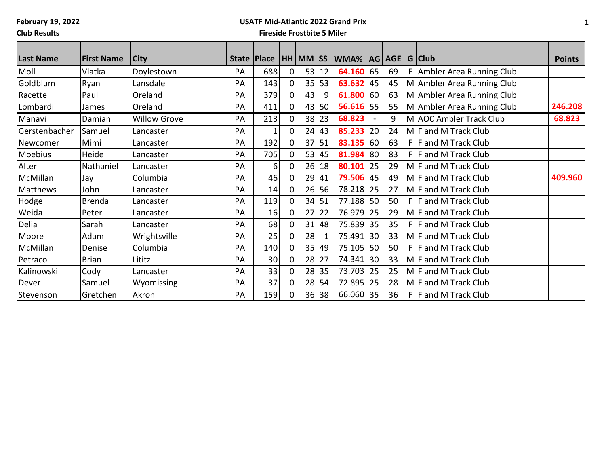# **USATF Mid-Atlantic 2022 Grand Prix**

**Club Results**

| <b>Last Name</b> | <b>First Name</b> | <b>City</b>         |    | State   Place |             |    |    | HH MM SS WMA%   AG   AGE |                          |    | G Club                       |               |
|------------------|-------------------|---------------------|----|---------------|-------------|----|----|--------------------------|--------------------------|----|------------------------------|---------------|
|                  |                   |                     |    |               |             |    |    |                          |                          |    |                              | <b>Points</b> |
| Moll             | Vlatka            | Doylestown          | PA | 688           | 0           | 53 | 12 | 64.160                   | 65                       | 69 | F   Ambler Area Running Club |               |
| Goldblum         | Ryan              | Lansdale            | PA | 143           | 0           | 35 | 53 | 63.632                   | 45                       | 45 | M Ambler Area Running Club   |               |
| Racette          | Paul              | Oreland             | PA | 379           | $\Omega$    | 43 | 9  | 61.800                   | 60                       | 63 | M Ambler Area Running Club   |               |
| Lombardi         | James             | Oreland             | PA | 411           | 0           | 43 | 50 | 56.616                   | 55                       | 55 | M Ambler Area Running Club   | 246.208       |
| Manavi           | Damian            | <b>Willow Grove</b> | PA | 213           | $\mathbf 0$ | 38 | 23 | 68.823                   | $\overline{\phantom{a}}$ | 9  | M AOC Ambler Track Club      | 68.823        |
| Gerstenbacher    | Samuel            | Lancaster           | PA | 1             | $\mathbf 0$ | 24 | 43 | 85.233                   | 20                       | 24 | M F and M Track Club         |               |
| Newcomer         | Mimi              | Lancaster           | PA | 192           | 0           | 37 | 51 | 83.135                   | 60                       | 63 | $F$  F and M Track Club      |               |
| Moebius          | Heide             | Lancaster           | PA | 705           | $\mathbf 0$ | 53 | 45 | 81.984                   | 80                       | 83 | $F$ $F$ and M Track Club     |               |
| Alter            | Nathaniel         | Lancaster           | PA | 6             | 0           | 26 | 18 | 80.101                   | 25                       | 29 | $M$ F and M Track Club       |               |
| McMillan         | Jay               | Columbia            | PA | 46            | $\Omega$    | 29 | 41 | 79.506                   | 45                       | 49 | M F and M Track Club         | 409.960       |
| Matthews         | John              | Lancaster           | PA | 14            | $\mathbf 0$ | 26 | 56 | 78.218                   | 25                       | 27 | M F and M Track Club         |               |
| Hodge            | <b>Brenda</b>     | Lancaster           | PA | 119           | 0           | 34 | 51 | 77.188                   | 50                       | 50 | $F$ F and M Track Club       |               |
| Weida            | Peter             | Lancaster           | PA | 16            | $\mathbf 0$ | 27 | 22 | 76.979                   | 25                       | 29 | M F and M Track Club         |               |
| Delia            | Sarah             | Lancaster           | PA | 68            | 0           | 31 | 48 | 75.839                   | 35                       | 35 | $F$  F and M Track Club      |               |
| Moore            | Adam              | Wrightsville        | PA | 25            | $\mathbf 0$ | 28 |    | 75.491                   | 30                       | 33 | $M$ F and M Track Club       |               |
| McMillan         | Denise            | Columbia            | PA | 140           | $\mathbf 0$ | 35 | 49 | 75.105                   | 50                       | 50 | $F$  F and M Track Club      |               |
| Petraco          | <b>Brian</b>      | Lititz              | PA | 30            | $\mathbf 0$ | 28 | 27 | 74.341                   | 30                       | 33 | M F and M Track Club         |               |
| Kalinowski       | Cody              | Lancaster           | PA | 33            | $\mathbf 0$ | 28 | 35 | 73.703                   | 25                       | 25 | M F and M Track Club         |               |
| Dever            | Samuel            | Wyomissing          | PA | 37            | 0           | 28 | 54 | 72.895                   | 25                       | 28 | M F and M Track Club         |               |
| Stevenson        | Gretchen          | Akron               | PA | 159           | 0           | 36 | 38 | 66.060                   | 35                       | 36 | $F$ F and M Track Club       |               |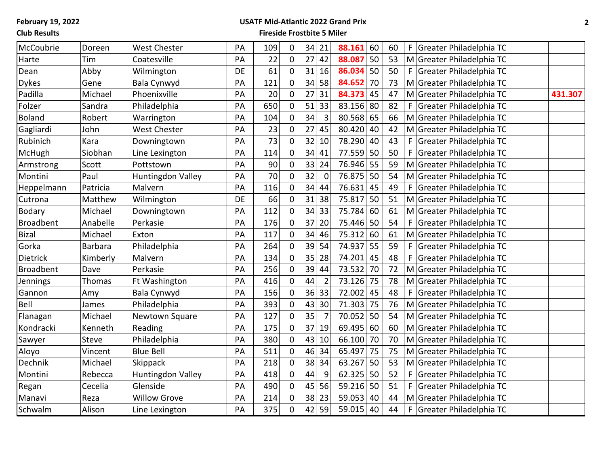### **USATF Mid-Atlantic 2022 Grand Prix**

**Club Results**

| McCoubrie        | Doreen         | <b>West Chester</b> | PA | 109 | $\overline{0}$ | 34 | 21             | 88.161<br>60 | 60 | Greater Philadelphia TC<br>F.        |
|------------------|----------------|---------------------|----|-----|----------------|----|----------------|--------------|----|--------------------------------------|
| Harte            | Tim            | Coatesville         | PA | 22  | $\pmb{0}$      | 27 | 42             | 88.087<br>50 | 53 | M Greater Philadelphia TC            |
| Dean             | Abby           | Wilmington          | DE | 61  | $\mathbf 0$    | 31 | 16             | 50<br>86.034 | 50 | Greater Philadelphia TC<br>F.        |
| <b>Dykes</b>     | Gene           | Bala Cynwyd         | PA | 121 | $\mathbf 0$    | 34 | 58             | 84.652<br>70 | 73 | M Greater Philadelphia TC            |
| Padilla          | Michael        | Phoenixville        | PA | 20  | $\mathbf 0$    | 27 | 31             | 84.373<br>45 | 47 | M Greater Philadelphia TC<br>431.307 |
| Folzer           | Sandra         | Philadelphia        | PA | 650 | $\overline{0}$ | 51 | 33             | 83.156<br>80 | 82 | Greater Philadelphia TC<br>F.        |
| <b>Boland</b>    | Robert         | Warrington          | PA | 104 | $\mathbf 0$    | 34 | $\overline{3}$ | 80.568<br>65 | 66 | M Greater Philadelphia TC            |
| Gagliardi        | John           | <b>West Chester</b> | PA | 23  | $\pmb{0}$      | 27 | 45             | 80.420<br>40 | 42 | M Greater Philadelphia TC            |
| Rubinich         | Kara           | Downingtown         | PA | 73  | $\pmb{0}$      | 32 | 10             | 78.290<br>40 | 43 | Greater Philadelphia TC<br>F.        |
| McHugh           | Siobhan        | Line Lexington      | PA | 114 | $\pmb{0}$      | 34 | 41             | 77.559<br>50 | 50 | Greater Philadelphia TC<br>F         |
| Armstrong        | Scott          | Pottstown           | PA | 90  | $\overline{0}$ | 33 | 24             | 76.946<br>55 | 59 | M Greater Philadelphia TC            |
| Montini          | Paul           | Huntingdon Valley   | PA | 70  | $\pmb{0}$      | 32 | $\mathbf 0$    | 76.875<br>50 | 54 | M Greater Philadelphia TC            |
| Heppelmann       | Patricia       | Malvern             | PA | 116 | $\mathbf 0$    | 34 | 44             | 76.631<br>45 | 49 | Greater Philadelphia TC<br>F         |
| Cutrona          | Matthew        | Wilmington          | DE | 66  | $\mathbf 0$    | 31 | 38             | 75.817<br>50 | 51 | M Greater Philadelphia TC            |
| Bodary           | Michael        | Downingtown         | PA | 112 | $\pmb{0}$      | 34 | 33             | 75.784<br>60 | 61 | M Greater Philadelphia TC            |
| <b>Broadbent</b> | Anabelle       | Perkasie            | PA | 176 | $\mathbf 0$    | 37 | 20             | 75.446<br>50 | 54 | Greater Philadelphia TC<br>F         |
| <b>Bizal</b>     | Michael        | Exton               | PA | 117 | $\overline{0}$ | 34 | 46             | 75.312<br>60 | 61 | M Greater Philadelphia TC            |
| Gorka            | <b>Barbara</b> | Philadelphia        | PA | 264 | $\pmb{0}$      | 39 | 54             | 74.937<br>55 | 59 | Greater Philadelphia TC<br>F.        |
| <b>Dietrick</b>  | Kimberly       | Malvern             | PA | 134 | $\mathbf 0$    | 35 | 28             | 74.201<br>45 | 48 | Greater Philadelphia TC<br>F         |
| Broadbent        | Dave           | Perkasie            | PA | 256 | $\overline{0}$ | 39 | 44             | 73.532<br>70 | 72 | M Greater Philadelphia TC            |
| Jennings         | Thomas         | Ft Washington       | PA | 416 | $\pmb{0}$      | 44 | $\overline{2}$ | 73.126<br>75 | 78 | M Greater Philadelphia TC            |
| Gannon           | Amy            | Bala Cynwyd         | PA | 156 | $\overline{0}$ | 36 | 33             | 72.002<br>45 | 48 | Greater Philadelphia TC              |
| Bell             | James          | Philadelphia        | PA | 393 | $\overline{0}$ | 43 | 30             | 71.303<br>75 | 76 | M Greater Philadelphia TC            |
| Flanagan         | Michael        | Newtown Square      | PA | 127 | $\mathbf 0$    | 35 | 7              | 70.052<br>50 | 54 | M Greater Philadelphia TC            |
| Kondracki        | Kenneth        | Reading             | PA | 175 | $\mathbf 0$    | 37 | 19             | 69.495<br>60 | 60 | M Greater Philadelphia TC            |
| Sawyer           | Steve          | Philadelphia        | PA | 380 | $\overline{0}$ | 43 | 10             | 66.100<br>70 | 70 | M Greater Philadelphia TC            |
| Aloyo            | Vincent        | <b>Blue Bell</b>    | PA | 511 | $\pmb{0}$      | 46 | 34             | 65.497<br>75 | 75 | M Greater Philadelphia TC            |
| Dechnik          | Michael        | Skippack            | PA | 218 | $\mathbf 0$    | 38 | 34             | 63.267<br>50 | 53 | M Greater Philadelphia TC            |
| Montini          | Rebecca        | Huntingdon Valley   | PA | 418 | $\mathbf 0$    | 44 | 9              | 62.325<br>50 | 52 | Greater Philadelphia TC<br>F         |
| Regan            | Cecelia        | Glenside            | PA | 490 | $\mathbf 0$    | 45 | 56             | 59.216<br>50 | 51 | Greater Philadelphia TC<br>F         |
| Manavi           | Reza           | <b>Willow Grove</b> | PA | 214 | $\overline{0}$ | 38 | 23             | 59.053<br>40 | 44 | M Greater Philadelphia TC            |
| Schwalm          | Alison         | Line Lexington      | PA | 375 | $\overline{0}$ | 42 | 59             | 59.015<br>40 | 44 | F<br>Greater Philadelphia TC         |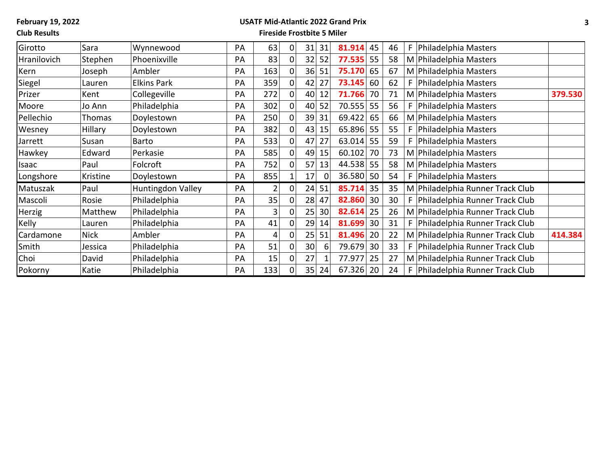## **USATF Mid-Atlantic 2022 Grand Prix**

**Club Results**

| Girotto     | Sara        | Wynnewood          | PA | 63  | $\pmb{0}$      | 31              | 31 | 81.914 | 45 | 46 | Philadelphia Masters             |         |
|-------------|-------------|--------------------|----|-----|----------------|-----------------|----|--------|----|----|----------------------------------|---------|
| Hranilovich | Stephen     | Phoenixville       | PA | 83  | $\mathbf 0$    | 32              | 52 | 77.535 | 55 | 58 | M Philadelphia Masters           |         |
| Kern        | Joseph      | Ambler             | PA | 163 | $\overline{0}$ | 36              | 51 | 75.170 | 65 | 67 | M Philadelphia Masters           |         |
| Siegel      | Lauren      | <b>Elkins Park</b> | PA | 359 | $\mathbf 0$    | 42              | 27 | 73.145 | 60 | 62 | Philadelphia Masters             |         |
| Prizer      | Kent        | Collegeville       | PA | 272 | $\mathbf 0$    | 40              | 12 | 71.766 | 70 | 71 | M Philadelphia Masters           | 379.530 |
| Moore       | Jo Ann      | Philadelphia       | PA | 302 | $\pmb{0}$      | 40              | 52 | 70.555 | 55 | 56 | Philadelphia Masters             |         |
| Pellechio   | Thomas      | Doylestown         | PA | 250 | 0              | 39              | 31 | 69.422 | 65 | 66 | M Philadelphia Masters           |         |
| Wesney      | Hillary     | Doylestown         | PA | 382 | $\mathbf 0$    | 43              | 15 | 65.896 | 55 | 55 | Philadelphia Masters             |         |
| Jarrett     | Susan       | <b>Barto</b>       | PA | 533 | $\mathbf 0$    | 47              | 27 | 63.014 | 55 | 59 | Philadelphia Masters             |         |
| Hawkey      | Edward      | Perkasie           | PA | 585 | $\mathbf 0$    | 49              | 15 | 60.102 | 70 | 73 | M Philadelphia Masters           |         |
| Isaac       | Paul        | Folcroft           | PA | 752 | 0              | 57              | 13 | 44.538 | 55 | 58 | M Philadelphia Masters           |         |
| Longshore   | Kristine    | Doylestown         | PA | 855 | $\mathbf{1}$   | 17              |    | 36.580 | 50 | 54 | Philadelphia Masters             |         |
| Matuszak    | Paul        | Huntingdon Valley  | PA | 2   | $\mathbf 0$    | 24              | 51 | 85.714 | 35 | 35 | M Philadelphia Runner Track Club |         |
| Mascoli     | Rosie       | Philadelphia       | PA | 35  | 0              | 28              | 47 | 82.860 | 30 | 30 | Philadelphia Runner Track Club   |         |
| Herzig      | Matthew     | Philadelphia       | PA | 3   | 0              | 25              | 30 | 82.614 | 25 | 26 | M Philadelphia Runner Track Club |         |
| Kelly       | Lauren      | Philadelphia       | PA | 41  | 0              | 29              | 14 | 81.699 | 30 | 31 | Philadelphia Runner Track Club   |         |
| Cardamone   | <b>Nick</b> | Ambler             | PA | 4   | 0              | 25              | 51 | 81.496 | 20 | 22 | M Philadelphia Runner Track Club | 414.384 |
| Smith       | Jessica     | Philadelphia       | PA | 51  | 0              | 30              | 6  | 79.679 | 30 | 33 | Philadelphia Runner Track Club   |         |
| Choi        | David       | Philadelphia       | PA | 15  | 0              | 27              |    | 77.977 | 25 | 27 | M Philadelphia Runner Track Club |         |
| Pokorny     | Katie       | Philadelphia       | PA | 133 | $\overline{0}$ | 35 <sub>1</sub> | 24 | 67.326 | 20 | 24 | Philadelphia Runner Track Club   |         |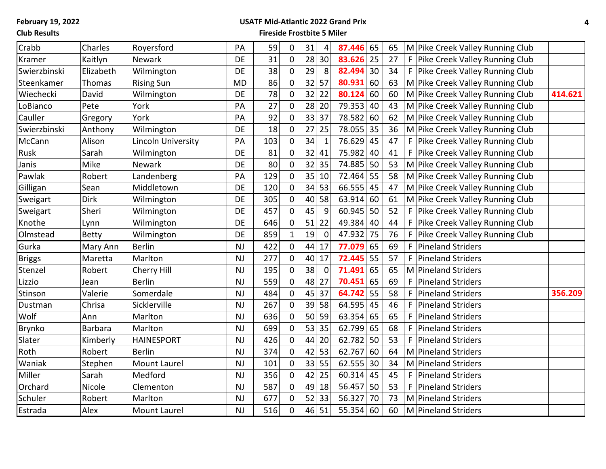## **USATF Mid-Atlantic 2022 Grand Prix**

**Club Results**

| Crabb         | Charles        | Royersford          | PA        | 59  | 0           | 31    | 4              | 87.446 | 65 | 65 |    | M Pike Creek Valley Running Club |         |
|---------------|----------------|---------------------|-----------|-----|-------------|-------|----------------|--------|----|----|----|----------------------------------|---------|
| Kramer        | Kaitlyn        | Newark              | <b>DE</b> | 31  | 0           | 28    | 30             | 83.626 | 25 | 27 |    | F Pike Creek Valley Running Club |         |
| Swierzbinski  | Elizabeth      | Wilmington          | DE        | 38  | $\pmb{0}$   | 29    | 8              | 82.494 | 30 | 34 | F  | Pike Creek Valley Running Club   |         |
| Steenkamer    | Thomas         | <b>Rising Sun</b>   | <b>MD</b> | 86  | $\pmb{0}$   | 32    | 57             | 80.931 | 60 | 63 |    | M Pike Creek Valley Running Club |         |
| Wiechecki     | David          | Wilmington          | <b>DE</b> | 78  | 0           | 32    | 22             | 80.124 | 60 | 60 |    | M Pike Creek Valley Running Club | 414.621 |
| LoBianco      | Pete           | York                | PA        | 27  | $\pmb{0}$   | 28 20 |                | 79.353 | 40 | 43 |    | M Pike Creek Valley Running Club |         |
| Cauller       | Gregory        | York                | PA        | 92  | $\mathbf 0$ | 33    | 37             | 78.582 | 60 | 62 |    | M Pike Creek Valley Running Club |         |
| Swierzbinski  | Anthony        | Wilmington          | <b>DE</b> | 18  | 0           | 27    | 25             | 78.055 | 35 | 36 |    | M Pike Creek Valley Running Club |         |
| McCann        | Alison         | Lincoln University  | PA        | 103 | 0           | 34    | $\mathbf{1}$   | 76.629 | 45 | 47 | F. | Pike Creek Valley Running Club   |         |
| Rusk          | Sarah          | Wilmington          | <b>DE</b> | 81  | $\mathbf 0$ | 32    | 41             | 75.982 | 40 | 41 | F  | Pike Creek Valley Running Club   |         |
| Janis         | Mike           | Newark              | DE        | 80  | 0           | 32    | 35             | 74.885 | 50 | 53 |    | M Pike Creek Valley Running Club |         |
| Pawlak        | Robert         | Landenberg          | PA        | 129 | 0           | 35    | 10             | 72.464 | 55 | 58 |    | M Pike Creek Valley Running Club |         |
| Gilligan      | Sean           | Middletown          | <b>DE</b> | 120 | 0           | 34    | 53             | 66.555 | 45 | 47 |    | M Pike Creek Valley Running Club |         |
| Sweigart      | <b>Dirk</b>    | Wilmington          | <b>DE</b> | 305 | 0           | 40    | 58             | 63.914 | 60 | 61 |    | M Pike Creek Valley Running Club |         |
| Sweigart      | Sheri          | Wilmington          | <b>DE</b> | 457 | $\pmb{0}$   | 45    | 9              | 60.945 | 50 | 52 | F. | Pike Creek Valley Running Club   |         |
| Knothe        | Lynn           | Wilmington          | <b>DE</b> | 646 | $\pmb{0}$   | 51    | 22             | 49.384 | 40 | 44 | F  | Pike Creek Valley Running Club   |         |
| Olmstead      | <b>Betty</b>   | Wilmington          | DE        | 859 | $1\vert$    | 19    | $\overline{0}$ | 47.932 | 75 | 76 | F  | Pike Creek Valley Running Club   |         |
| Gurka         | Mary Ann       | <b>Berlin</b>       | <b>NJ</b> | 422 | 0           | 44    | 17             | 77.079 | 65 | 69 | F  | <b>Pineland Striders</b>         |         |
| <b>Briggs</b> | Maretta        | Marlton             | NJ        | 277 | 0           | 40    | 17             | 72.445 | 55 | 57 | F  | <b>Pineland Striders</b>         |         |
| Stenzel       | Robert         | Cherry Hill         | <b>NJ</b> | 195 | 0           | 38    | $\overline{0}$ | 71.491 | 65 | 65 |    | M Pineland Striders              |         |
| Lizzio        | Jean           | <b>Berlin</b>       | <b>NJ</b> | 559 | $\mathbf 0$ | 48 27 |                | 70.451 | 65 | 69 | F  | <b>Pineland Striders</b>         |         |
| Stinson       | Valerie        | Somerdale           | <b>NJ</b> | 484 | $\pmb{0}$   | 45    | 37             | 64.742 | 55 | 58 | F  | <b>Pineland Striders</b>         | 356.209 |
| Dustman       | Chrisa         | Sicklerville        | <b>NJ</b> | 267 | 0           | 39    | 58             | 64.595 | 45 | 46 | F  | <b>Pineland Striders</b>         |         |
| Wolf          | Ann            | Marlton             | <b>NJ</b> | 636 | 0           | 50    | 59             | 63.354 | 65 | 65 | F  | <b>Pineland Striders</b>         |         |
| Brynko        | <b>Barbara</b> | Marlton             | <b>NJ</b> | 699 | 0           | 53    | 35             | 62.799 | 65 | 68 | F  | <b>Pineland Striders</b>         |         |
| Slater        | Kimberly       | <b>HAINESPORT</b>   | <b>NJ</b> | 426 | 0           | 44    | 20             | 62.782 | 50 | 53 | F  | <b>Pineland Striders</b>         |         |
| Roth          | Robert         | <b>Berlin</b>       | <b>NJ</b> | 374 | 0           | 42    | 53             | 62.767 | 60 | 64 |    | M Pineland Striders              |         |
| Waniak        | Stephen        | <b>Mount Laurel</b> | <b>NJ</b> | 101 | $\mathbf 0$ | 33    | 55             | 62.555 | 30 | 34 | M  | <b>Pineland Striders</b>         |         |
| Miller        | Sarah          | Medford             | <b>NJ</b> | 356 | 0           | 42    | 25             | 60.314 | 45 | 45 | F  | <b>Pineland Striders</b>         |         |
| Orchard       | Nicole         | Clementon           | <b>NJ</b> | 587 | 0           | 49    | 18             | 56.457 | 50 | 53 | F  | <b>Pineland Striders</b>         |         |
| Schuler       | Robert         | Marlton             | NJ        | 677 | 0           | 52    | 33             | 56.327 | 70 | 73 |    | M Pineland Striders              |         |
| Estrada       | Alex           | <b>Mount Laurel</b> | <b>NJ</b> | 516 | 0           | 46 51 |                | 55.354 | 60 | 60 |    | M Pineland Striders              |         |